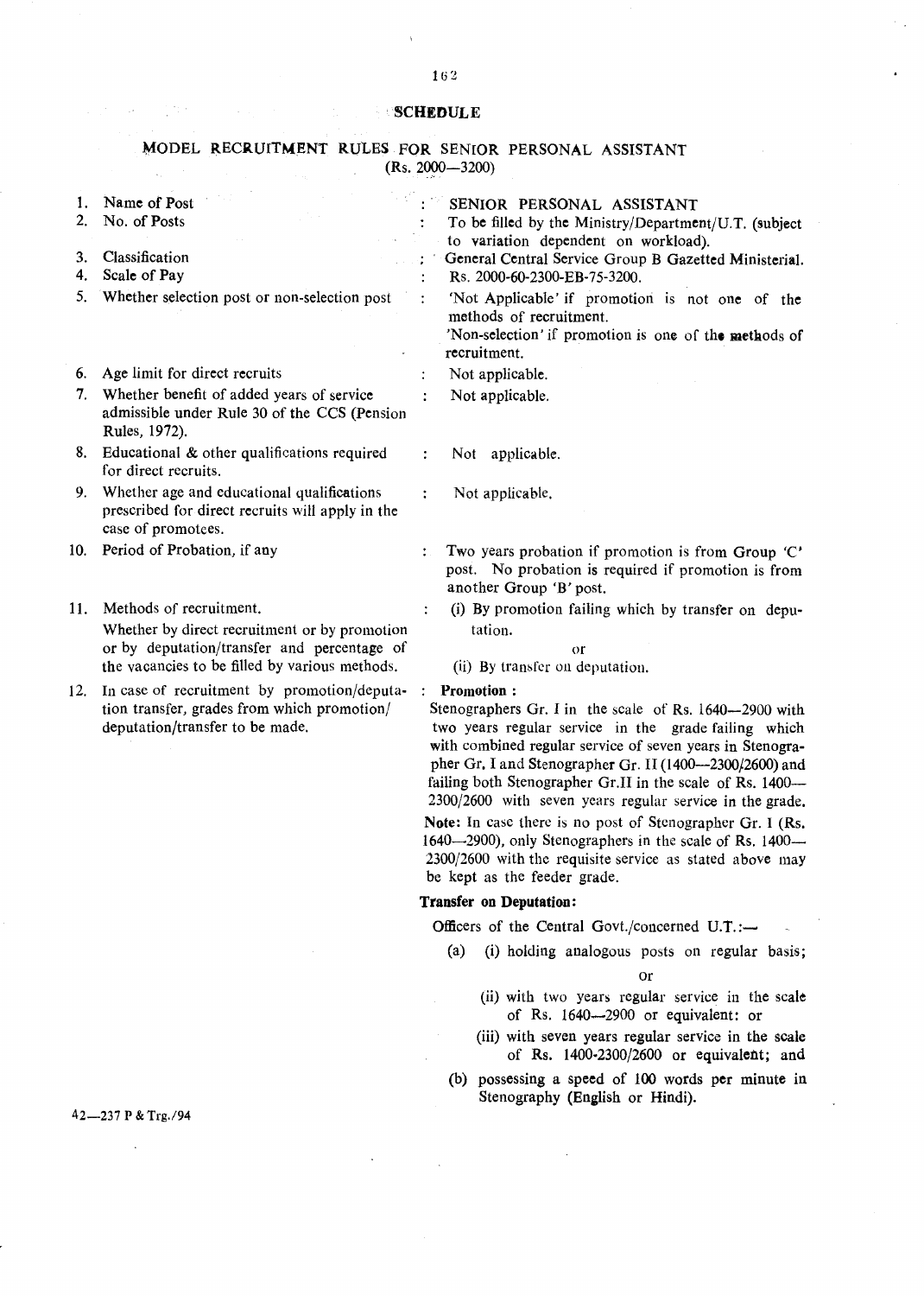## SCHEDULE

## MODEL RECRUITMENT RULES FOR SENIOR PERSONAL ASSISTANT  $(Rs. 2000 - 3200)$  $\mathcal{L}$  $\hat{\mathcal{A}}_{\text{in}}$

| 1.<br>2. | Name of Post<br>No. of Posts                                                                                                  |                | SENIOR PERSONAL ASSISTANT<br>To be filled by the Ministry/Department/U.T. (subject                                                                                                                                                                                                                                                                                                |  |
|----------|-------------------------------------------------------------------------------------------------------------------------------|----------------|-----------------------------------------------------------------------------------------------------------------------------------------------------------------------------------------------------------------------------------------------------------------------------------------------------------------------------------------------------------------------------------|--|
|          |                                                                                                                               |                | to variation dependent on workload).                                                                                                                                                                                                                                                                                                                                              |  |
| 3.       | Classification                                                                                                                |                | General Central Service Group B Gazetted Ministerial.                                                                                                                                                                                                                                                                                                                             |  |
| 4.       | Scale of Pay                                                                                                                  |                | Rs. 2000-60-2300-EB-75-3200.                                                                                                                                                                                                                                                                                                                                                      |  |
| 5.       | Whether selection post or non-selection post                                                                                  |                | 'Not Applicable' if promotion is not one of the<br>methods of recruitment.<br>'Non-selection' if promotion is one of the methods of<br>recruitment.                                                                                                                                                                                                                               |  |
|          | 6. Age limit for direct recruits                                                                                              |                | Not applicable.                                                                                                                                                                                                                                                                                                                                                                   |  |
|          | 7. Whether benefit of added years of service<br>admissible under Rule 30 of the CCS (Pension<br>Rules, 1972).                 |                | Not applicable.                                                                                                                                                                                                                                                                                                                                                                   |  |
| 8.       | Educational & other qualifications required<br>for direct recruits.                                                           |                | Not applicable.                                                                                                                                                                                                                                                                                                                                                                   |  |
| 9.       | Whether age and educational qualifications<br>prescribed for direct recruits will apply in the<br>case of promotees.          | $\ddot{\cdot}$ | Not applicable.                                                                                                                                                                                                                                                                                                                                                                   |  |
| 10.      | Period of Probation, if any                                                                                                   | $\ddot{\cdot}$ | Two years probation if promotion is from Group 'C'<br>post. No probation is required if promotion is from<br>another Group 'B' post.                                                                                                                                                                                                                                              |  |
| 11.      | Methods of recruitment.                                                                                                       |                | (i) By promotion failing which by transfer on depu-                                                                                                                                                                                                                                                                                                                               |  |
|          | Whether by direct recruitment or by promotion                                                                                 |                | tation.                                                                                                                                                                                                                                                                                                                                                                           |  |
|          | or by deputation/transfer and percentage of                                                                                   |                | O <sub>l</sub>                                                                                                                                                                                                                                                                                                                                                                    |  |
|          | the vacancies to be filled by various methods.                                                                                |                | (ii) By transfer on deputation.                                                                                                                                                                                                                                                                                                                                                   |  |
| 12.      | In case of recruitment by promotion/deputa-<br>tion transfer, grades from which promotion/<br>deputation/transfer to be made. |                | $:$ Promotion:<br>Stenographers Gr. I in the scale of Rs. 1640-2900 with<br>two years regular service in the grade failing which<br>with combined regular service of seven years in Stenogra-<br>pher Gr. I and Stenographer Gr. II (1400—2300/2600) and<br>failing both Stenographer Gr.II in the scale of Rs. 1400-<br>2300/2600 with seven years regular service in the grade. |  |
|          |                                                                                                                               |                | Note: In case there is no post of Stenographer Gr. I (Rs.<br>1640—2900), only Stenographers in the scale of Rs. 1400—<br>2300/2600 with the requisite service as stated above may<br>be kept as the feeder grade.                                                                                                                                                                 |  |
|          |                                                                                                                               |                | <b>Transfer on Deputation:</b>                                                                                                                                                                                                                                                                                                                                                    |  |
|          |                                                                                                                               |                |                                                                                                                                                                                                                                                                                                                                                                                   |  |

Officers of the Central Govt./concerned U.T.:-

- (a) (i) holding analogous posts on regular basis; Or
	- (ii) with two years regular service in the scale of Rs. 1640-2900 or equivalent: or
	- (iii) with seven years regular service in the scale of Rs. 1400·2300/2600 or equivalent; and
- (b) possessing a speed of 100 words per minute in Stenography (English or Hindi).

42-237 P & Trg./94

 $\sim 100$  km s  $^{-1}$